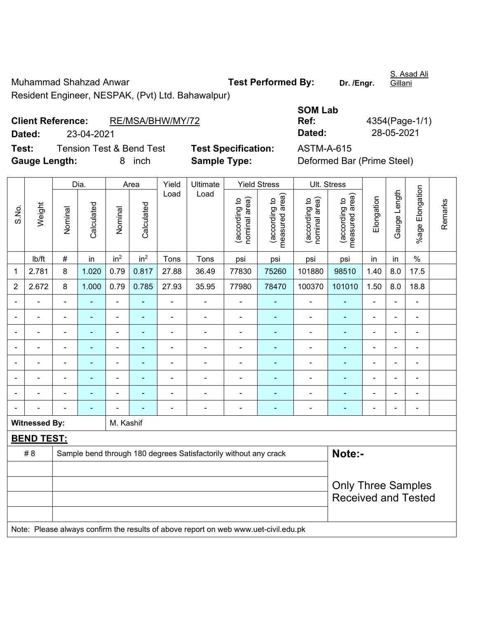Muhammad Shahzad Anwar **Test Performed By:** Dr. /Engr. Resident Engineer, NESPAK, (Pvt) Ltd. Bahawalpur)

## **Client Reference:** RE/MSA/BHW/MY/72

|                          |            |                                     |                            | <b>SOM Lab</b>    |                            |
|--------------------------|------------|-------------------------------------|----------------------------|-------------------|----------------------------|
| <b>Client Reference:</b> |            | RE/MSA/BHW/MY/72                    |                            | Ref:              | 4354(Page-1/1)             |
| Dated:                   | 23-04-2021 |                                     |                            | Dated:            | 28-05-2021                 |
| Test:                    |            | <b>Tension Test &amp; Bend Test</b> | <b>Test Specification:</b> | <b>ASTM-A-615</b> |                            |
| <b>Gauge Length:</b>     |            | inch                                | <b>Sample Type:</b>        |                   | Deformed Bar (Prime Steel) |

|                |                      |                           | Dia.           |                 | Area            | Yield          | Ultimate                                                                            |                                | <b>Yield Stress</b>                         |                                | Ult. Stress                     |                |                          |                          |         |
|----------------|----------------------|---------------------------|----------------|-----------------|-----------------|----------------|-------------------------------------------------------------------------------------|--------------------------------|---------------------------------------------|--------------------------------|---------------------------------|----------------|--------------------------|--------------------------|---------|
| S.No.          | Weight               | Nominal                   | Calculated     | Nominal         | Calculated      | Load           | Load                                                                                | nominal area)<br>(according to | (according to<br>neasured area)<br>measured | nominal area)<br>(according to | (according to<br>measured area) | Elongation     | Gauge Length             | %age Elongation          | Remarks |
|                | lb/ft                | $\#$                      | in             | in <sup>2</sup> | in <sup>2</sup> | Tons           | Tons                                                                                | psi                            | psi                                         | psi                            | psi                             | in             | in                       | $\%$                     |         |
| 1              | 2.781                | 8                         | 1.020          | 0.79            | 0.817           | 27.88          | 36.49                                                                               | 77830                          | 75260                                       | 101880                         | 98510                           | 1.40           | 8.0                      | 17.5                     |         |
| $\overline{2}$ | 2.672                | 8                         | 1.000          | 0.79            | 0.785           | 27.93          | 35.95                                                                               | 77980                          | 78470                                       | 100370                         | 101010                          | 1.50           | 8.0                      | 18.8                     |         |
|                |                      |                           |                | $\overline{a}$  |                 |                | ÷                                                                                   |                                | $\overline{\phantom{a}}$                    | $\blacksquare$                 | $\blacksquare$                  |                |                          | $\blacksquare$           |         |
|                |                      |                           |                | $\blacksquare$  |                 | L.             | $\blacksquare$                                                                      | $\blacksquare$                 |                                             | $\blacksquare$                 | $\blacksquare$                  | $\blacksquare$ |                          | $\blacksquare$           |         |
| ÷              |                      | Ē,                        | ۰              | $\blacksquare$  |                 | ÷              | ÷                                                                                   | $\blacksquare$                 |                                             | $\overline{a}$                 | ٠                               | $\blacksquare$ | $\overline{\phantom{0}}$ |                          |         |
|                |                      | $\blacksquare$            | $\blacksquare$ | $\blacksquare$  | $\blacksquare$  | $\overline{a}$ | $\blacksquare$                                                                      | $\blacksquare$                 | $\blacksquare$                              | ٠                              | ۰                               | $\blacksquare$ | i.                       | $\overline{\phantom{a}}$ |         |
| $\blacksquare$ |                      | $\blacksquare$            | $\blacksquare$ | $\blacksquare$  | ٠               | ÷              | $\blacksquare$                                                                      | $\blacksquare$                 | $\blacksquare$                              | $\blacksquare$                 | ٠                               | $\blacksquare$ | i.                       | ä,                       |         |
|                |                      | $\blacksquare$            |                | $\blacksquare$  |                 |                |                                                                                     |                                |                                             | Ē,                             | ۰                               |                |                          | ä,                       |         |
|                |                      |                           |                |                 |                 |                |                                                                                     |                                |                                             | $\blacksquare$                 | $\blacksquare$                  |                |                          | $\blacksquare$           |         |
|                |                      |                           |                |                 |                 |                | $\blacksquare$                                                                      |                                |                                             |                                |                                 |                |                          | $\blacksquare$           |         |
|                | <b>Witnessed By:</b> |                           |                | M. Kashif       |                 |                |                                                                                     |                                |                                             |                                |                                 |                |                          |                          |         |
|                | <b>BEND TEST:</b>    |                           |                |                 |                 |                |                                                                                     |                                |                                             |                                |                                 |                |                          |                          |         |
|                | #8                   |                           |                |                 |                 |                | Sample bend through 180 degrees Satisfactorily without any crack                    |                                |                                             |                                | Note:-                          |                |                          |                          |         |
|                |                      |                           |                |                 |                 |                |                                                                                     |                                |                                             |                                |                                 |                |                          |                          |         |
|                |                      | <b>Only Three Samples</b> |                |                 |                 |                |                                                                                     |                                |                                             |                                |                                 |                |                          |                          |         |
|                |                      |                           |                |                 |                 |                |                                                                                     | <b>Received and Tested</b>     |                                             |                                |                                 |                |                          |                          |         |
|                |                      |                           |                |                 |                 |                |                                                                                     |                                |                                             |                                |                                 |                |                          |                          |         |
|                |                      |                           |                |                 |                 |                | Note: Please always confirm the results of above report on web www.uet-civil.edu.pk |                                |                                             |                                |                                 |                |                          |                          |         |

S. Asad Ali

Gillani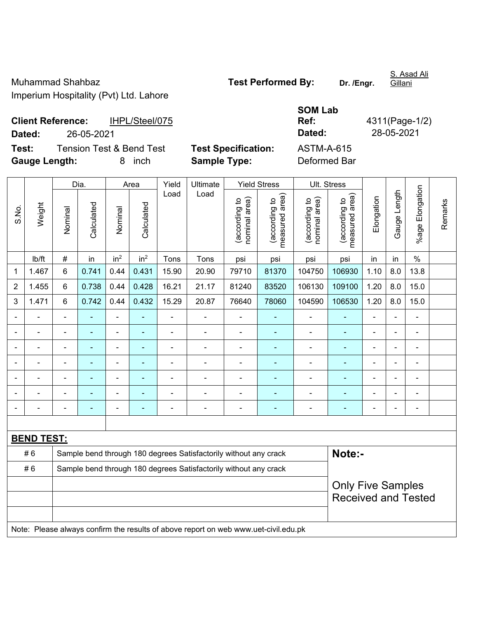Muhammad Shahbaz **Test Performed By:** Dr. /Engr. Imperium Hospitality (Pvt) Ltd. Lahore

## **SOM Lab Ref:** 4311(Page-1/2)

Dia. | Area | Yield | Ultimate | Yield Stress | Ult. Stress %age Elongation %age Elongation Gauge Length Load Load Gauge Length (according to<br>measured area) measured area) measured area) (according to<br>nominal area) (according to<br>nominal area) nominal area) nominal area) (according to<br>measured area) Elongation Elongation (according to (according to (according to (according to Remarks Remarks Weight **Calculated Calculated** Calculated Calculated S.No. Nominal Nominal Vominal Nominal | lb/ft | # | in | in<sup>2</sup> | in<sup>2</sup> | Tons | Tons | psi | psi | psi | psi | in | in | % 1 | 1.467 | 6 | 0.741 | 0.44 | 0.431 | 15.90 | 20.90 | 79710 | 81370 | 104750 | 106930 | 1.10 | 8.0 | 13.8 2 | 1.455 | 6 | 0.738 | 0.44 | 0.428 | 16.21 | 21.17 | 81240 | 83520 | 106130 | 109100 | 1.20 | 8.0 | 15.0 3 | 1.471 |  $\,$  6  $\,$  | 0.742 | 0.44 | 0.432 | 15.29 |  $\,$  20.87  $\,$  |  $\,76640$  |  $\,78060$  | 104590 | 106530 | 1.20 | 8.0 | 15.0 - - - - - - - - - - - - - - - - - - - - - - - - - - - - - - - - - - - - - - - - - - - - - - - - - - - - - - - - - - - - - - - - - - - - - - - - - - - - - - - - - - - - - - - - - - - - - - - - - - - - - - - - - **BEND TEST:**  # 6 Sample bend through 180 degrees Satisfactorily without any crack **Note:- Note:** #6 Sample bend through 180 degrees Satisfactorily without any crack Only Five Samples Received and Tested Note: Please always confirm the results of above report on web www.uet-civil.edu.pk

**Client Reference:** IHPL/Steel/075 **Dated:** 26-05-2021 **Dated:** 28-05-2021 **Test:** Tension Test & Bend Test **Test Specification:** ASTM-A-615

**Gauge Length:** 8 inch **Sample Type:** Deformed Bar

S. Asad Ali Gillani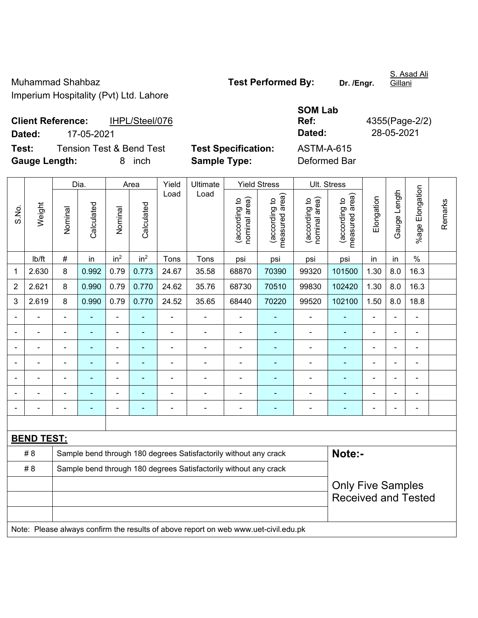Muhammad Shahbaz **Test Performed By:** Dr. /Engr. Imperium Hospitality (Pvt) Ltd. Lahore

S. Asad Ali Gillani

**Client Reference:** IHPL/Steel/076 **Dated:** 17-05-2021 **Dated:** 28-05-2021 **Test:** Tension Test & Bend Test **Test Specification:** 

**Gauge Length:** 8 inch **Sample Type:** Deformed Bar

| <b>SOM Lab</b> |                |
|----------------|----------------|
| Ref:           | 4355(Page-2/2) |
| Dated:         | 28-05-2021     |
| ASTM-A-615     |                |

|                |                   |                          | Dia.           | Area            |                 | Yield          |                                                                                     | Ultimate<br><b>Yield Stress</b> |                                 | Ult. Stress                    |                                 |                |                |                 |         |
|----------------|-------------------|--------------------------|----------------|-----------------|-----------------|----------------|-------------------------------------------------------------------------------------|---------------------------------|---------------------------------|--------------------------------|---------------------------------|----------------|----------------|-----------------|---------|
| S.No.          | Weight            | Nominal                  | Calculated     | Nominal         | Calculated      | Load           | Load                                                                                | nominal area)<br>(according to  | (according to<br>measured area) | nominal area)<br>(according to | measured area)<br>(according to | Elongation     | Gauge Length   | %age Elongation | Remarks |
|                | Ib/ft             | #                        | in             | in <sup>2</sup> | in <sup>2</sup> | Tons           | Tons                                                                                | psi                             | psi                             | psi                            | psi                             | in             | in             | $\%$            |         |
| 1              | 2.630             | 8                        | 0.992          | 0.79            | 0.773           | 24.67          | 35.58                                                                               | 68870                           | 70390                           | 99320                          | 101500                          | 1.30           | 8.0            | 16.3            |         |
| $\overline{2}$ | 2.621             | 8                        | 0.990          | 0.79            | 0.770           | 24.62          | 35.76                                                                               | 68730                           | 70510                           | 99830                          | 102420                          | 1.30           | 8.0            | 16.3            |         |
| 3              | 2.619             | 8                        | 0.990          | 0.79            | 0.770           | 24.52          | 35.65                                                                               | 68440                           | 70220                           | 99520                          | 102100                          | 1.50           | 8.0            | 18.8            |         |
|                |                   |                          | $\blacksquare$ | ÷,              |                 |                | L,                                                                                  | $\overline{a}$                  |                                 | ä,                             | ÷,                              |                |                | L,              |         |
|                |                   |                          |                | $\blacksquare$  |                 |                | Ē,                                                                                  | $\blacksquare$                  |                                 |                                |                                 |                |                |                 |         |
|                | ä,                | ä,                       | $\blacksquare$ | ÷               |                 |                | Ē,                                                                                  | $\blacksquare$                  | ä,                              | ÷                              | ÷,                              | $\blacksquare$ |                | $\blacksquare$  |         |
| ÷              | ÷,                | $\blacksquare$           | $\blacksquare$ | ÷,              |                 | $\blacksquare$ | Ē,                                                                                  | $\blacksquare$                  | ÷                               | $\blacksquare$                 | $\blacksquare$                  | $\blacksquare$ | $\blacksquare$ | $\blacksquare$  |         |
|                |                   | ä,                       | $\blacksquare$ | ÷               |                 | $\overline{a}$ | $\overline{\phantom{a}}$                                                            | $\blacksquare$                  | ÷                               | ÷                              | ٠                               | $\blacksquare$ | ÷              | $\blacksquare$  |         |
|                | ÷                 | ä,                       | $\blacksquare$ | ÷,              |                 | $\blacksquare$ | ä,                                                                                  | $\blacksquare$                  | ÷                               | ÷,                             | $\blacksquare$                  |                |                | $\blacksquare$  |         |
|                | ÷                 | $\blacksquare$           | $\blacksquare$ | ä,              |                 |                | ä,                                                                                  | ä,                              | ä,                              | ä,                             | ÷,                              |                |                | $\blacksquare$  |         |
|                |                   |                          |                |                 |                 |                |                                                                                     |                                 |                                 |                                |                                 |                |                |                 |         |
|                | <b>BEND TEST:</b> |                          |                |                 |                 |                |                                                                                     |                                 |                                 |                                |                                 |                |                |                 |         |
|                | #8                |                          |                |                 |                 |                | Sample bend through 180 degrees Satisfactorily without any crack                    |                                 |                                 |                                | Note:-                          |                |                |                 |         |
|                | #8                |                          |                |                 |                 |                | Sample bend through 180 degrees Satisfactorily without any crack                    |                                 |                                 |                                |                                 |                |                |                 |         |
|                |                   | <b>Only Five Samples</b> |                |                 |                 |                |                                                                                     |                                 |                                 |                                |                                 |                |                |                 |         |
|                |                   |                          |                |                 |                 |                |                                                                                     |                                 |                                 |                                | <b>Received and Tested</b>      |                |                |                 |         |
|                |                   |                          |                |                 |                 |                |                                                                                     |                                 |                                 |                                |                                 |                |                |                 |         |
|                |                   |                          |                |                 |                 |                | Note: Please always confirm the results of above report on web www.uet-civil.edu.pk |                                 |                                 |                                |                                 |                |                |                 |         |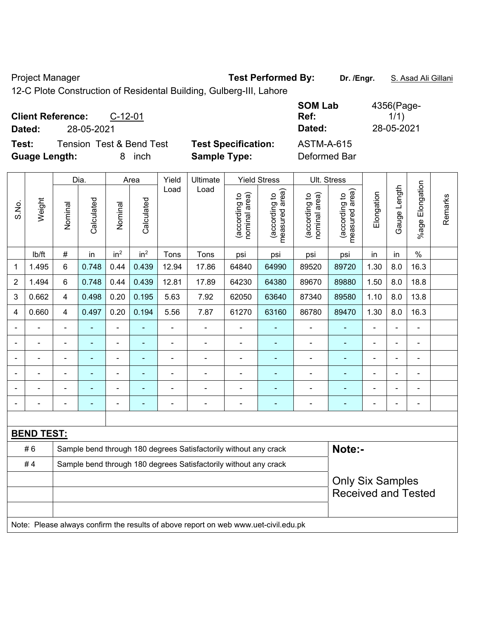Project Manager **Test Performed By:** Dr. /Engr. **S. Asad Ali Gillani** Ali Gillani

12-C Plote Construction of Residental Building, Gulberg-III, Lahore

|                            | <b>SOM Lab</b><br>Ref:<br>Dated: | 4356(Page-<br>1/1)<br>28-05-2021 |
|----------------------------|----------------------------------|----------------------------------|
| <b>Test Specification:</b> | <b>ASTM-A-615</b>                |                                  |
|                            | <b>Sample Type:</b>              | Deformed Bar                     |

|                |                   |                         | Dia.           |                              | Area            | Yield                    | Ultimate                                                                            |                                | <b>Yield Stress</b>                         |                                | Ult. Stress                     |                |                |                       |         |
|----------------|-------------------|-------------------------|----------------|------------------------------|-----------------|--------------------------|-------------------------------------------------------------------------------------|--------------------------------|---------------------------------------------|--------------------------------|---------------------------------|----------------|----------------|-----------------------|---------|
| S.No.          | Weight            | Nominal                 | Calculated     | Nominal                      | Calculated      | Load                     | Load                                                                                | nominal area)<br>(according to | (according to<br>neasured area)<br>measured | nominal area)<br>(according to | (according to<br>measured area) | Elongation     | Gauge Length   | Elongation<br>$%$ age | Remarks |
|                | lb/ft             | $\#$                    | in             | in <sup>2</sup>              | in <sup>2</sup> | Tons                     | Tons                                                                                | psi                            | psi                                         | psi                            | psi                             | in             | in             | $\%$                  |         |
| 1              | 1.495             | 6                       | 0.748          | 0.44                         | 0.439           | 12.94                    | 17.86                                                                               | 64840                          | 64990                                       | 89520                          | 89720                           | 1.30           | 8.0            | 16.3                  |         |
| $\overline{2}$ | 1.494             | 6                       | 0.748          | 0.44                         | 0.439           | 12.81                    | 17.89                                                                               | 64230                          | 64380                                       | 89670                          | 89880                           | 1.50           | 8.0            | 18.8                  |         |
| 3              | 0.662             | 4                       | 0.498          | 0.20                         | 0.195           | 5.63                     | 7.92                                                                                | 62050                          | 63640                                       | 87340                          | 89580                           | 1.10           | 8.0            | 13.8                  |         |
| 4              | 0.660             | 4                       | 0.497          | 0.20                         | 0.194           | 5.56                     | 7.87                                                                                | 61270                          | 63160                                       | 86780                          | 89470                           | 1.30           | 8.0            | 16.3                  |         |
|                | $\overline{a}$    | $\blacksquare$          | ۰              | ÷                            | $\blacksquare$  | $\overline{\phantom{a}}$ | ÷,                                                                                  | $\blacksquare$                 | ٠                                           | $\blacksquare$                 | $\frac{1}{2}$                   | $\blacksquare$ | $\overline{a}$ | $\blacksquare$        |         |
|                | $\blacksquare$    | $\blacksquare$          | $\blacksquare$ | $\qquad \qquad \blacksquare$ | ٠               | $\blacksquare$           | ÷,                                                                                  | $\blacksquare$                 | ÷                                           | $\blacksquare$                 | ÷                               | $\blacksquare$ | ä,             | $\blacksquare$        |         |
|                | ÷.                | ä,                      | ÷,             | $\overline{a}$               | $\blacksquare$  | $\blacksquare$           | ÷                                                                                   | $\blacksquare$                 | $\blacksquare$                              | ÷,                             | $\blacksquare$                  | $\blacksquare$ | ä,             | $\blacksquare$        |         |
|                | $\blacksquare$    |                         | $\blacksquare$ | $\blacksquare$               |                 | L,                       | $\blacksquare$                                                                      | Ē,                             |                                             | ä,                             |                                 |                | $\blacksquare$ | $\blacksquare$        |         |
|                |                   |                         | ۰              | $\blacksquare$               |                 |                          | $\blacksquare$                                                                      | $\blacksquare$                 |                                             |                                | $\blacksquare$                  |                |                | $\blacksquare$        |         |
|                | $\blacksquare$    | $\blacksquare$          |                | ۰                            | $\blacksquare$  | ä,                       | $\blacksquare$                                                                      | $\blacksquare$                 | ٠                                           | $\blacksquare$                 | ÷,                              | $\blacksquare$ | $\blacksquare$ | $\blacksquare$        |         |
|                |                   |                         |                |                              |                 |                          |                                                                                     |                                |                                             |                                |                                 |                |                |                       |         |
|                | <b>BEND TEST:</b> |                         |                |                              |                 |                          |                                                                                     |                                |                                             |                                |                                 |                |                |                       |         |
|                | #6                |                         |                |                              |                 |                          | Sample bend through 180 degrees Satisfactorily without any crack                    |                                |                                             |                                | Note:-                          |                |                |                       |         |
|                | #4                |                         |                |                              |                 |                          | Sample bend through 180 degrees Satisfactorily without any crack                    |                                |                                             |                                |                                 |                |                |                       |         |
|                |                   | <b>Only Six Samples</b> |                |                              |                 |                          |                                                                                     |                                |                                             |                                |                                 |                |                |                       |         |
|                |                   |                         |                |                              |                 |                          |                                                                                     |                                |                                             |                                | <b>Received and Tested</b>      |                |                |                       |         |
|                |                   |                         |                |                              |                 |                          |                                                                                     |                                |                                             |                                |                                 |                |                |                       |         |
|                |                   |                         |                |                              |                 |                          | Note: Please always confirm the results of above report on web www.uet-civil.edu.pk |                                |                                             |                                |                                 |                |                |                       |         |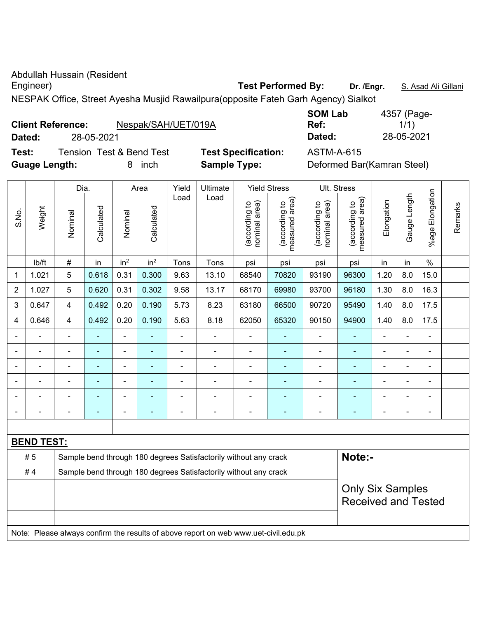Abdullah Hussain (Resident

Engineer) **Test Performed By:** Dr. /Engr. **S. Asad Ali Gillani** Company of Test Performed By: Dr. /Engr. **S. Asad Ali Gillani** 

NESPAK Office, Street Ayesha Musjid Rawailpura(opposite Fateh Garh Agency) Sialkot

| <b>Client Reference:</b> |            | Nespak/SAH/UET/019A      |                            | Ref:       | 1/1)                       |
|--------------------------|------------|--------------------------|----------------------------|------------|----------------------------|
| Dated:                   | 28-05-2021 |                          |                            | Dated:     | 28-05-2021                 |
| Test:                    |            | Tension Test & Bend Test | <b>Test Specification:</b> | ASTM-A-615 |                            |
| <b>Guage Length:</b>     |            | inch                     | <b>Sample Type:</b>        |            | Deformed Bar(Kamran Steel) |

|                |                | Dia.           |            |                          | Area                     | Yield          | Ultimate |                                  | <b>Yield Stress</b>                  |                                | Ult. Stress                        |                |                 |                          |         |
|----------------|----------------|----------------|------------|--------------------------|--------------------------|----------------|----------|----------------------------------|--------------------------------------|--------------------------------|------------------------------------|----------------|-----------------|--------------------------|---------|
| S.No.          | Weight         | Nominal        | Calculated | Nominal                  | Calculated               | Load           | Load     | nominal area)<br>₽<br>(according | area)<br>ą<br>(according<br>measured | (according to<br>nominal area) | area)<br>(according to<br>measured | Elongation     | Length<br>Gauge | Elongation<br>$%$ age    | Remarks |
|                | lb/ft          | #              | in         | in <sup>2</sup>          | in <sup>2</sup>          | Tons           | Tons     | psi                              | psi                                  | psi                            | psi                                | in             | in.             | $\%$                     |         |
| 1              | 1.021          | 5              | 0.618      | 0.31                     | 0.300                    | 9.63           | 13.10    | 68540                            | 70820                                | 93190                          | 96300                              | 1.20           | 8.0             | 15.0                     |         |
| $\overline{2}$ | 1.027          | 5              | 0.620      | 0.31                     | 0.302                    | 9.58           | 13.17    | 68170                            | 69980                                | 93700                          | 96180                              | 1.30           | 8.0             | 16.3                     |         |
| 3              | 0.647          | 4              | 0.492      | 0.20                     | 0.190                    | 5.73           | 8.23     | 63180                            | 66500                                | 90720                          | 95490                              | 1.40           | 8.0             | 17.5                     |         |
| 4              | 0.646          | $\overline{4}$ | 0.492      | 0.20                     | 0.190                    | 5.63           | 8.18     | 62050                            | 65320                                | 90150                          | 94900                              | 1.40           | 8.0             | 17.5                     |         |
|                | $\blacksquare$ | ۰              | ۰          | $\blacksquare$           | $\blacksquare$           | $\blacksquare$ | ۰        | $\blacksquare$                   | ۰                                    | $\blacksquare$                 | $\blacksquare$                     | $\equiv$       | $\blacksquare$  | $\blacksquare$           |         |
|                | $\blacksquare$ |                | ۰          | $\blacksquare$           | $\blacksquare$           | ۰              |          | $\blacksquare$                   | ۰                                    | $\blacksquare$                 | ۰                                  | $\blacksquare$ | $\blacksquare$  | $\blacksquare$           |         |
|                | $\blacksquare$ |                | ۰          |                          | ٠                        | -              |          | $\blacksquare$                   | $\blacksquare$                       |                                | ۰                                  | $\blacksquare$ | $\blacksquare$  | $\blacksquare$           |         |
|                | -              |                | ۰          | -                        |                          | ۰              |          |                                  |                                      |                                | -                                  | $\equiv$       | $\blacksquare$  | $\overline{\phantom{0}}$ |         |
|                | -              |                | ۰          | $\overline{\phantom{0}}$ | $\overline{\phantom{a}}$ | ۰              |          |                                  |                                      |                                | -                                  | $\equiv$       | $\blacksquare$  | $\overline{\phantom{a}}$ |         |
|                |                |                |            |                          |                          | -              |          |                                  |                                      |                                |                                    |                |                 | $\overline{\phantom{0}}$ |         |
|                |                |                |            |                          |                          |                |          |                                  |                                      |                                |                                    |                |                 |                          |         |

| <b>BEND TEST:</b> |                                                                                     |                            |  |  |  |  |  |  |  |  |  |  |
|-------------------|-------------------------------------------------------------------------------------|----------------------------|--|--|--|--|--|--|--|--|--|--|
| #5                | Sample bend through 180 degrees Satisfactorily without any crack                    | Note:-                     |  |  |  |  |  |  |  |  |  |  |
| #4                | Sample bend through 180 degrees Satisfactorily without any crack                    |                            |  |  |  |  |  |  |  |  |  |  |
|                   |                                                                                     | <b>Only Six Samples</b>    |  |  |  |  |  |  |  |  |  |  |
|                   |                                                                                     | <b>Received and Tested</b> |  |  |  |  |  |  |  |  |  |  |
|                   |                                                                                     |                            |  |  |  |  |  |  |  |  |  |  |
|                   | Note: Please always confirm the results of above report on web www.uet-civil.edu.pk |                            |  |  |  |  |  |  |  |  |  |  |

**SOM Lab**  4357 (Page-1/1)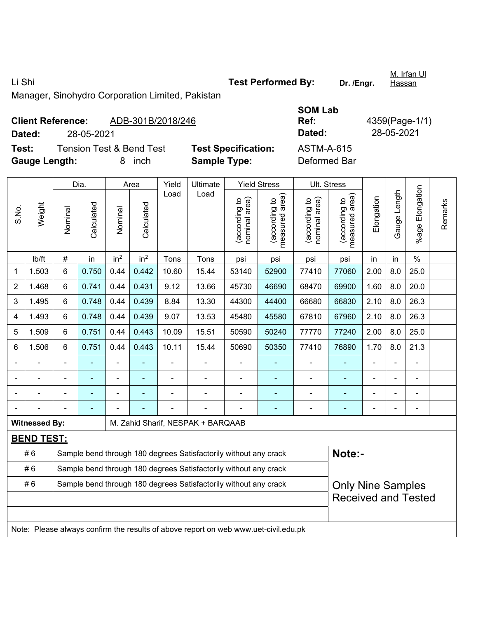Li Shi **Test Performed By: Dr. /Engr.** 

<u>M. Irfan Ul</u> Hassan

Manager, Sinohydro Corporation Limited, Pakistan

|                      | <b>Client Reference:</b> | ADB-301B/2018/246        |                            | Ref:         | 4359(Page-1/ |  |  |
|----------------------|--------------------------|--------------------------|----------------------------|--------------|--------------|--|--|
| Dated:               | 28-05-2021               |                          |                            | Dated:       | 28-05-2021   |  |  |
| Test:                |                          | Tension Test & Bend Test | <b>Test Specification:</b> | ASTM-A-615   |              |  |  |
| <b>Gauge Length:</b> |                          | inch                     | <b>Sample Type:</b>        | Deformed Bar |              |  |  |

| <b>SOM Lab</b>    |                |
|-------------------|----------------|
| Ref:              | 4359(Page-1/1) |
| Dated:            | 28-05-2021     |
| <b>ASTM-A-615</b> |                |
| Deformed Bar      |                |

|                |                      |                                                                  | Dia.           |                 | Area            | Yield          | Ultimate                                                                            |                               | <b>Yield Stress</b>             |                                | Ult. Stress                     |                |                |                           |         |
|----------------|----------------------|------------------------------------------------------------------|----------------|-----------------|-----------------|----------------|-------------------------------------------------------------------------------------|-------------------------------|---------------------------------|--------------------------------|---------------------------------|----------------|----------------|---------------------------|---------|
| S.No.          | Weight               | Nominal                                                          | Calculated     | Nominal         | Calculated      | Load           | Load                                                                                | nominal area)<br>according to | (according to<br>measured area) | nominal area)<br>(according to | (according to<br>measured area) | Elongation     | Gauge Length   | Elongation<br>$%$ age $ $ | Remarks |
|                | lb/ft                | $\#$                                                             | in             | in <sup>2</sup> | in <sup>2</sup> | Tons           | Tons                                                                                | psi                           | psi                             | psi                            | psi                             | in             | in             | $\%$                      |         |
| 1              | 1.503                | 6                                                                | 0.750          | 0.44            | 0.442           | 10.60          | 15.44                                                                               | 53140                         | 52900                           | 77410                          | 77060                           | 2.00           | 8.0            | 25.0                      |         |
| $\overline{2}$ | 1.468                | 6                                                                | 0.741          | 0.44            | 0.431           | 9.12           | 13.66                                                                               | 45730                         | 46690                           | 68470                          | 69900                           | 1.60           | 8.0            | 20.0                      |         |
| 3              | 1.495                | 6                                                                | 0.748          | 0.44            | 0.439           | 8.84           | 13.30                                                                               | 44300                         | 44400                           | 66680                          | 66830                           | 2.10           | 8.0            | 26.3                      |         |
| 4              | 1.493                | 6                                                                | 0.748          | 0.44            | 0.439           | 9.07           | 13.53                                                                               | 45480                         | 45580                           | 67810                          | 67960                           | 2.10           | 8.0            | 26.3                      |         |
| 5              | 1.509                | 6                                                                | 0.751          | 0.44            | 0.443           | 10.09          | 15.51                                                                               | 50590                         | 50240                           | 77770                          | 77240                           | 2.00           | 8.0            | 25.0                      |         |
| 6              | 1.506                | 6                                                                | 0.751          | 0.44            | 0.443           | 10.11          | 15.44                                                                               | 50690                         | 50350                           | 77410                          | 76890                           | 1.70           | 8.0            | 21.3                      |         |
| $\blacksquare$ | $\blacksquare$       | ä,                                                               | $\blacksquare$ | $\blacksquare$  | ۳               | $\blacksquare$ | ÷.                                                                                  | $\blacksquare$                |                                 | $\blacksquare$                 | $\blacksquare$                  | $\blacksquare$ | ä,             | $\blacksquare$            |         |
|                |                      |                                                                  |                |                 |                 |                | ä,                                                                                  |                               |                                 |                                | ÷,                              |                |                |                           |         |
| $\blacksquare$ |                      |                                                                  |                |                 |                 |                |                                                                                     |                               |                                 |                                |                                 |                |                |                           |         |
| $\blacksquare$ |                      |                                                                  | $\blacksquare$ |                 |                 |                |                                                                                     |                               |                                 |                                | -                               | $\blacksquare$ | $\blacksquare$ | $\blacksquare$            |         |
|                | <b>Witnessed By:</b> |                                                                  |                |                 |                 |                | M. Zahid Sharif, NESPAK + BARQAAB                                                   |                               |                                 |                                |                                 |                |                |                           |         |
|                | <b>BEND TEST:</b>    |                                                                  |                |                 |                 |                |                                                                                     |                               |                                 |                                |                                 |                |                |                           |         |
|                | #6                   |                                                                  |                |                 |                 |                | Sample bend through 180 degrees Satisfactorily without any crack                    |                               |                                 |                                | Note:-                          |                |                |                           |         |
|                | #6                   |                                                                  |                |                 |                 |                | Sample bend through 180 degrees Satisfactorily without any crack                    |                               |                                 |                                |                                 |                |                |                           |         |
|                | #6                   | Sample bend through 180 degrees Satisfactorily without any crack |                |                 |                 |                |                                                                                     |                               |                                 |                                | <b>Only Nine Samples</b>        |                |                |                           |         |
|                |                      |                                                                  |                |                 |                 |                |                                                                                     |                               |                                 |                                | <b>Received and Tested</b>      |                |                |                           |         |
|                |                      |                                                                  |                |                 |                 |                |                                                                                     |                               |                                 |                                |                                 |                |                |                           |         |
|                |                      |                                                                  |                |                 |                 |                | Note: Please always confirm the results of above report on web www.uet-civil.edu.pk |                               |                                 |                                |                                 |                |                |                           |         |